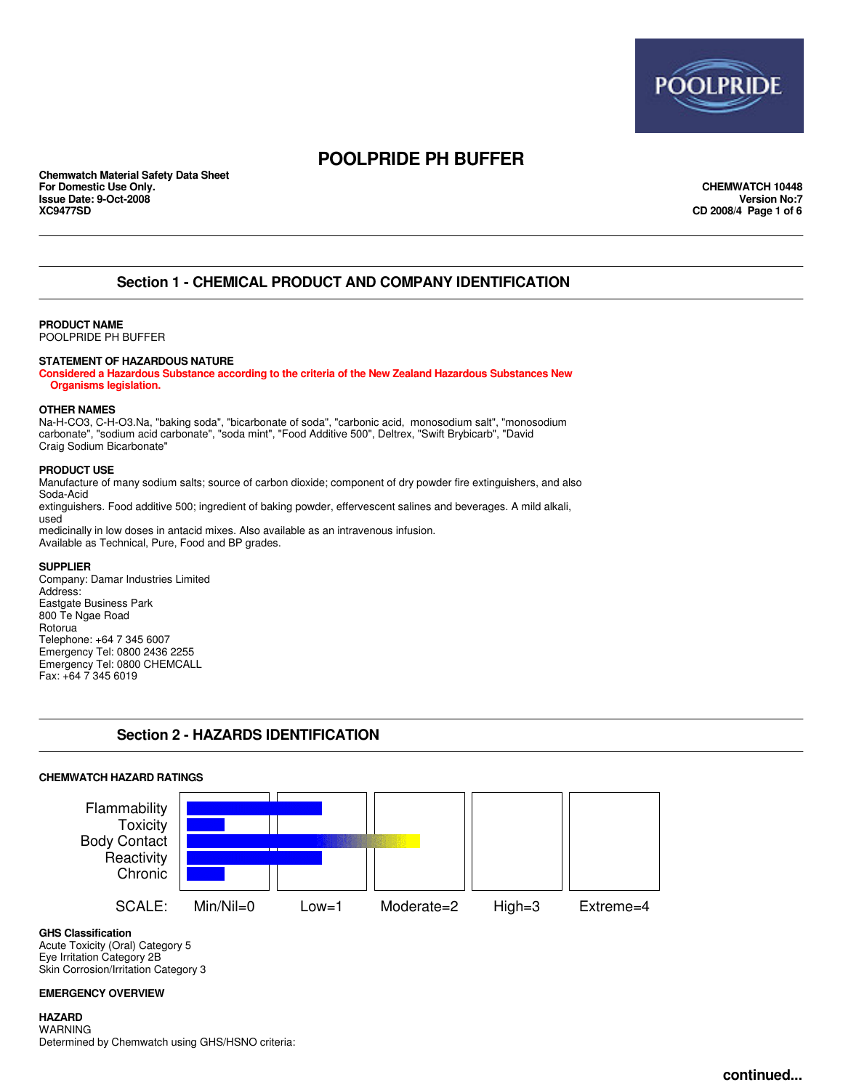

**Chemwatch Material Safety Data Sheet For Domestic Use Only. CHEMWATCH 10448 Issue Date: 9-Oct-2008**<br>**XC9477SD** 

**XC9477SD CD 2008/4 Page 1 of 6**

### **Section 1 - CHEMICAL PRODUCT AND COMPANY IDENTIFICATION**

### **PRODUCT NAME**

POOLPRIDE PH BUFFER

#### **STATEMENT OF HAZARDOUS NATURE**

**Considered a Hazardous Substance according to the criteria of the New Zealand Hazardous Substances New Organisms legislation.**

#### **OTHER NAMES**

Na-H-CO3, C-H-O3.Na, "baking soda", "bicarbonate of soda", "carbonic acid, monosodium salt", "monosodium carbonate", "sodium acid carbonate", "soda mint", "Food Additive 500", Deltrex, "Swift Brybicarb", "David Craig Sodium Bicarbonate"

#### **PRODUCT USE**

Manufacture of many sodium salts; source of carbon dioxide; component of dry powder fire extinguishers, and also Soda-Acid extinguishers. Food additive 500; ingredient of baking powder, effervescent salines and beverages. A mild alkali, used

medicinally in low doses in antacid mixes. Also available as an intravenous infusion. Available as Technical, Pure, Food and BP grades.

#### **SUPPLIER**

Company: Damar Industries Limited Address: Eastgate Business Park 800 Te Ngae Road Rotorua Telephone: +64 7 345 6007 Emergency Tel: 0800 2436 2255 Emergency Tel: 0800 CHEMCALL Fax: +64 7 345 6019

### **Section 2 - HAZARDS IDENTIFICATION**

#### **CHEMWATCH HAZARD RATINGS**



**GHS Classification**

Acute Toxicity (Oral) Category 5 Eye Irritation Category 2B Skin Corrosion/Irritation Category 3

#### **EMERGENCY OVERVIEW**

**HAZARD** WARNING Determined by Chemwatch using GHS/HSNO criteria: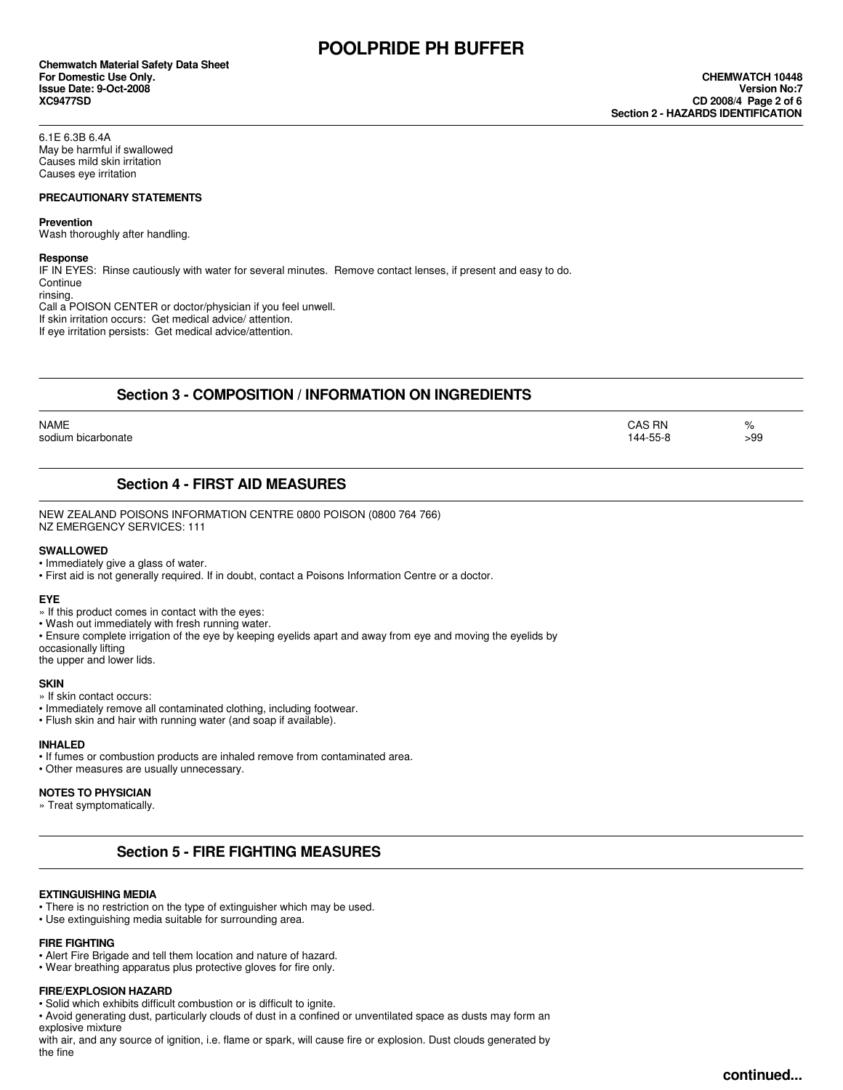**Chemwatch Material Safety Data Sheet For Domestic Use Only. CHEMWATCH 10448 Issue Date: 9-Oct-2008**<br>**XC9477SD** 

6.1E 6.3B 6.4A May be harmful if swallowed Causes mild skin irritation Causes eye irritation

#### **PRECAUTIONARY STATEMENTS**

#### **Prevention**

Wash thoroughly after handling.

#### **Response**

IF IN EYES: Rinse cautiously with water for several minutes. Remove contact lenses, if present and easy to do. **Continue** rinsing.

Call a POISON CENTER or doctor/physician if you feel unwell. If skin irritation occurs: Get medical advice/ attention. If eye irritation persists: Get medical advice/attention.

## **Section 3 - COMPOSITION / INFORMATION ON INGREDIENTS**

| <b>NAME</b><br>sodium bicarbonate | CAS RN<br>144-55-8 | %   |
|-----------------------------------|--------------------|-----|
|                                   |                    | >99 |

### **Section 4 - FIRST AID MEASURES**

NEW ZEALAND POISONS INFORMATION CENTRE 0800 POISON (0800 764 766) NZ EMERGENCY SERVICES: 111

#### **SWALLOWED**

• Immediately give a glass of water.

• First aid is not generally required. If in doubt, contact a Poisons Information Centre or a doctor.

#### **EYE**

- » If this product comes in contact with the eyes:
- Wash out immediately with fresh running water.
- Ensure complete irrigation of the eye by keeping eyelids apart and away from eye and moving the eyelids by

occasionally lifting

the upper and lower lids.

#### **SKIN**

» If skin contact occurs:

- Immediately remove all contaminated clothing, including footwear.
- Flush skin and hair with running water (and soap if available).

#### **INHALED**

- If fumes or combustion products are inhaled remove from contaminated area.
- Other measures are usually unnecessary.

#### **NOTES TO PHYSICIAN**

» Treat symptomatically.

### **Section 5 - FIRE FIGHTING MEASURES**

#### **EXTINGUISHING MEDIA**

- There is no restriction on the type of extinguisher which may be used.
- Use extinguishing media suitable for surrounding area.

### **FIRE FIGHTING**

• Alert Fire Brigade and tell them location and nature of hazard.

• Wear breathing apparatus plus protective gloves for fire only.

### **FIRE/EXPLOSION HAZARD**

• Solid which exhibits difficult combustion or is difficult to ignite.

• Avoid generating dust, particularly clouds of dust in a confined or unventilated space as dusts may form an explosive mixture

with air, and any source of ignition, i.e. flame or spark, will cause fire or explosion. Dust clouds generated by the fine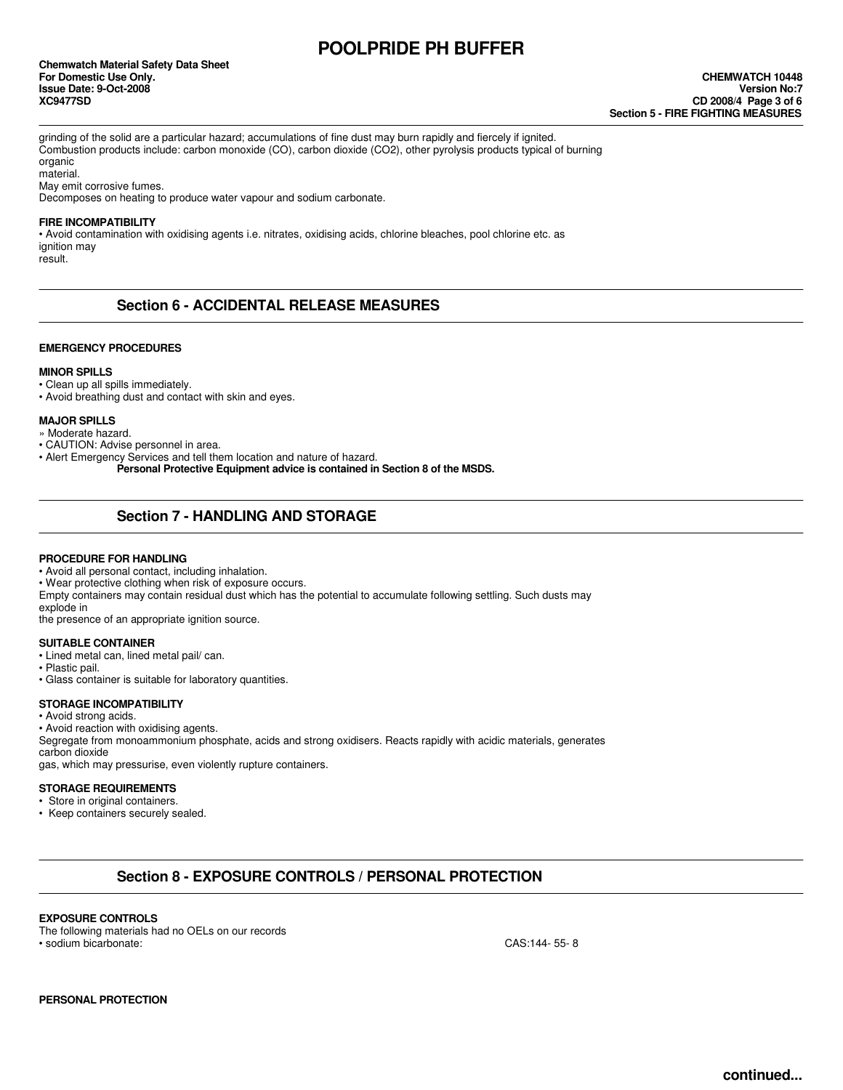**Chemwatch Material Safety Data Sheet For Domestic Use Only. CHEMWATCH 10448 Issue Date: 9-Oct-2008**<br>**XC9477SD** 

grinding of the solid are a particular hazard; accumulations of fine dust may burn rapidly and fiercely if ignited. Combustion products include: carbon monoxide (CO), carbon dioxide (CO2), other pyrolysis products typical of burning organic

material.

May emit corrosive fumes.

Decomposes on heating to produce water vapour and sodium carbonate.

#### **FIRE INCOMPATIBILITY**

• Avoid contamination with oxidising agents i.e. nitrates, oxidising acids, chlorine bleaches, pool chlorine etc. as ignition may result.

### **Section 6 - ACCIDENTAL RELEASE MEASURES**

#### **EMERGENCY PROCEDURES**

#### **MINOR SPILLS**

• Clean up all spills immediately.

• Avoid breathing dust and contact with skin and eyes.

#### **MAJOR SPILLS**

» Moderate hazard.

• CAUTION: Advise personnel in area.

• Alert Emergency Services and tell them location and nature of hazard.

**Personal Protective Equipment advice is contained in Section 8 of the MSDS.**

### **Section 7 - HANDLING AND STORAGE**

#### **PROCEDURE FOR HANDLING**

• Avoid all personal contact, including inhalation.

• Wear protective clothing when risk of exposure occurs.

Empty containers may contain residual dust which has the potential to accumulate following settling. Such dusts may explode in

the presence of an appropriate ignition source.

#### **SUITABLE CONTAINER**

- Lined metal can, lined metal pail/ can.
- Plastic pail.
- Glass container is suitable for laboratory quantities.

#### **STORAGE INCOMPATIBILITY**

• Avoid strong acids.

• Avoid reaction with oxidising agents.

Segregate from monoammonium phosphate, acids and strong oxidisers. Reacts rapidly with acidic materials, generates carbon dioxide gas, which may pressurise, even violently rupture containers.

#### **STORAGE REQUIREMENTS**

- Store in original containers.
- Keep containers securely sealed.

### **Section 8 - EXPOSURE CONTROLS / PERSONAL PROTECTION**

#### **EXPOSURE CONTROLS**

The following materials had no OELs on our records • sodium bicarbonate: CAS:144- 55- 8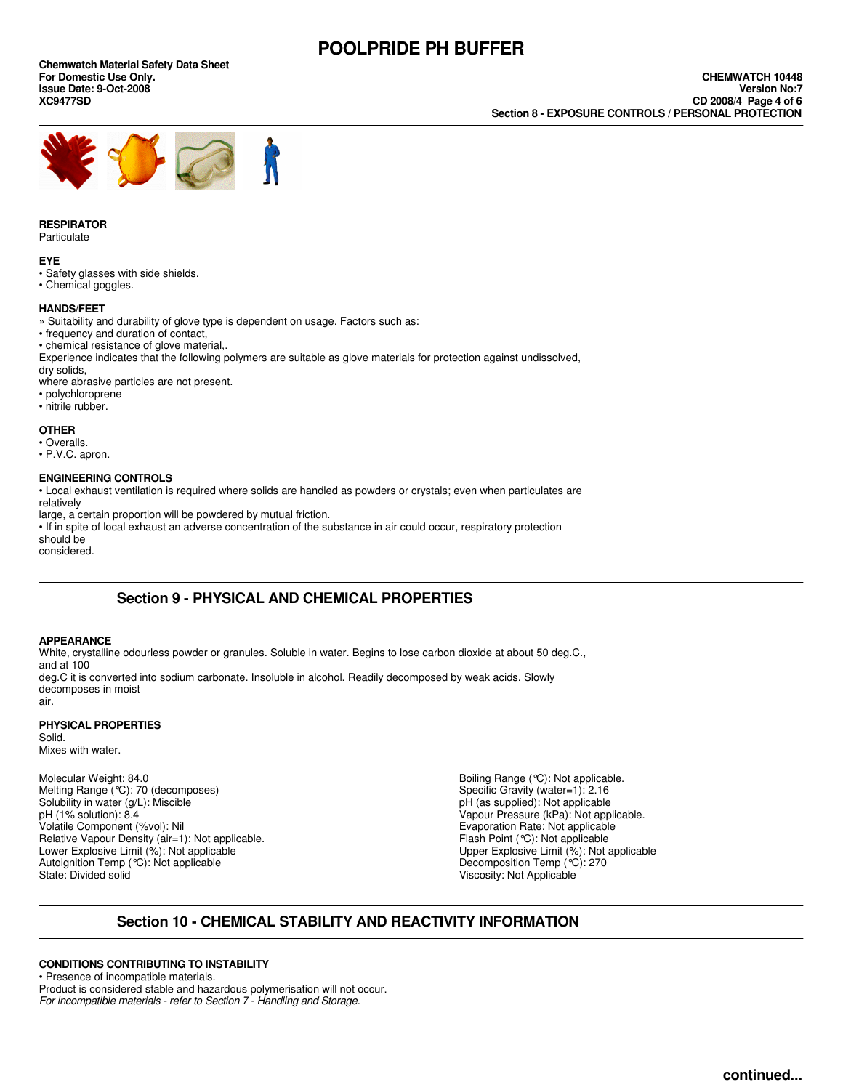**Chemwatch Material Safety Data Sheet Issue Date: 9-Oct-2008**<br>**XC9477SD** 



#### **RESPIRATOR**

**Particulate** 

#### **EYE**

- Safety glasses with side shields.
- Chemical goggles.

#### **HANDS/FEET**

- » Suitability and durability of glove type is dependent on usage. Factors such as:
- frequency and duration of contact,
- chemical resistance of glove material,.
- Experience indicates that the following polymers are suitable as glove materials for protection against undissolved,
- dry solids,
- where abrasive particles are not present. • polychloroprene
- nitrile rubber.

### **OTHER**

- Overalls.
- P.V.C. apron.

#### **ENGINEERING CONTROLS**

• Local exhaust ventilation is required where solids are handled as powders or crystals; even when particulates are relatively

large, a certain proportion will be powdered by mutual friction.

• If in spite of local exhaust an adverse concentration of the substance in air could occur, respiratory protection should be

considered.

### **Section 9 - PHYSICAL AND CHEMICAL PROPERTIES**

#### **APPEARANCE**

White, crystalline odourless powder or granules. Soluble in water. Begins to lose carbon dioxide at about 50 deg.C., and at 100 deg.C it is converted into sodium carbonate. Insoluble in alcohol. Readily decomposed by weak acids. Slowly decomposes in moist

#### **PHYSICAL PROPERTIES**

Solid. Mixes with water.

air.

Melting Range (°C): 70 (decomposes) <br>
Solubility in water (g/L): Miscible (Solubility in water (g/L): Miscible (Solubility in water (g/L): Miscible Solubility in water  $(g/L)$ : Miscible pH (1% solution): 8.4 pH (1% solution): 8.4 <br>
Vapour Pressure (kPa): Not applicable.<br>
Volatile Component (%vol): Nil and the state of the state of the State Vietnament (% vol.): Not applicable Relative Vapour Density (air=1): Not applicable.<br>Lower Explosive Limit (%): Not applicable Autoignition Temp (°C): Not applicable<br>State: Divided solid

Molecular Weight: 84.0 **Molecular Weight: 84.0** Boiling Range (°C): Not applicable.<br>Melting Range (°C): 70 (decomposes) **Alternative Controller Sensity Controller Sensity Authority (water=1): 2.16** Evaporation Rate: Not applicable<br>Flash Point (°C): Not applicable Upper Explosive Limit  $(\%)$ : Not applicable Decomposition Temp  $(\degree C)$ : 270 Viscosity: Not Applicable

### **Section 10 - CHEMICAL STABILITY AND REACTIVITY INFORMATION**

### **CONDITIONS CONTRIBUTING TO INSTABILITY**

• Presence of incompatible materials. Product is considered stable and hazardous polymerisation will not occur. *For incompatible materials - refer to Section 7 - Handling and Storage.*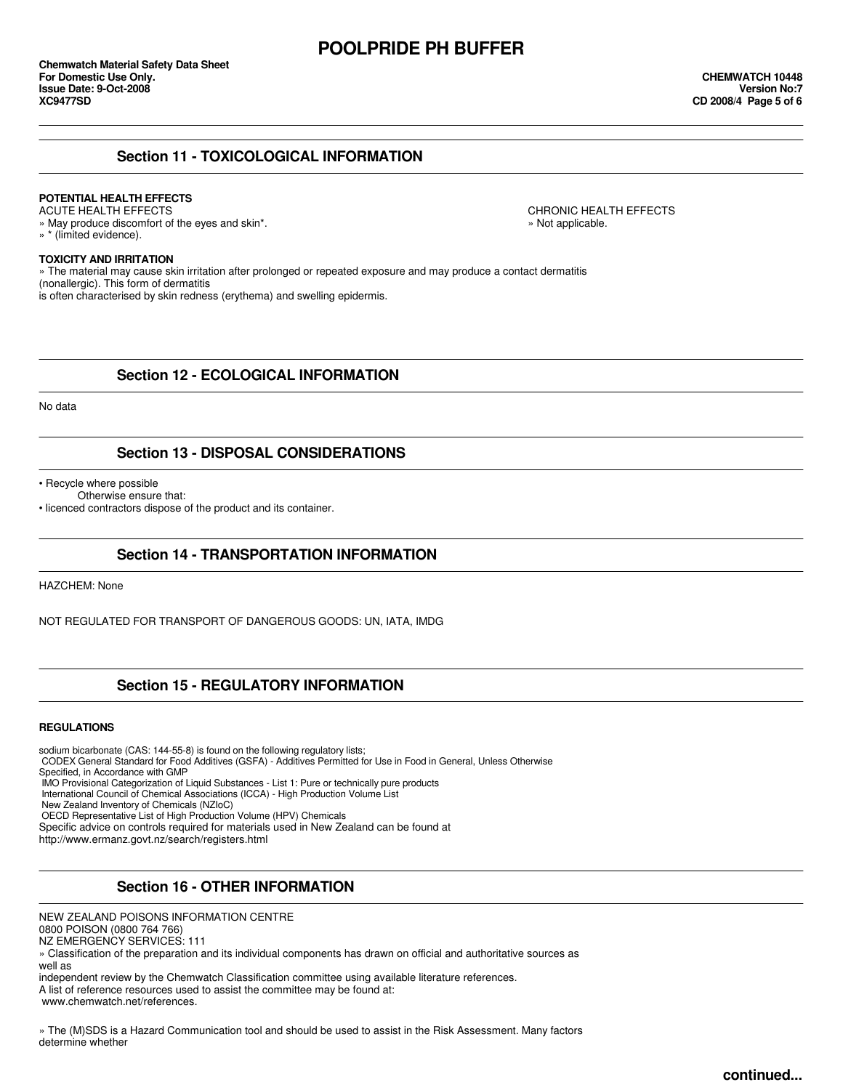### **Section 11 - TOXICOLOGICAL INFORMATION**

# **POTENTIAL HEALTH EFFECTS**

» May produce discomfort of the eyes and skin\*.  $\blacksquare$ » \* (limited evidence).

CHRONIC HEALTH EFFECTS

### **TOXICITY AND IRRITATION**

» The material may cause skin irritation after prolonged or repeated exposure and may produce a contact dermatitis (nonallergic). This form of dermatitis

is often characterised by skin redness (erythema) and swelling epidermis.

### **Section 12 - ECOLOGICAL INFORMATION**

No data

### **Section 13 - DISPOSAL CONSIDERATIONS**

• Recycle where possible

Otherwise ensure that:

• licenced contractors dispose of the product and its container.

### **Section 14 - TRANSPORTATION INFORMATION**

HAZCHEM: None

NOT REGULATED FOR TRANSPORT OF DANGEROUS GOODS: UN, IATA, IMDG

### **Section 15 - REGULATORY INFORMATION**

#### **REGULATIONS**

sodium bicarbonate (CAS: 144-55-8) is found on the following regulatory lists;

CODEX General Standard for Food Additives (GSFA) - Additives Permitted for Use in Food in General, Unless Otherwise

Specified, in Accordance with GMP

IMO Provisional Categorization of Liquid Substances - List 1: Pure or technically pure products

International Council of Chemical Associations (ICCA) - High Production Volume List

New Zealand Inventory of Chemicals (NZIoC)

OECD Representative List of High Production Volume (HPV) Chemicals

Specific advice on controls required for materials used in New Zealand can be found at

http://www.ermanz.govt.nz/search/registers.html

### **Section 16 - OTHER INFORMATION**

NEW ZEALAND POISONS INFORMATION CENTRE

0800 POISON (0800 764 766)

» Classification of the preparation and its individual components has drawn on official and authoritative sources as well as

independent review by the Chemwatch Classification committee using available literature references.

A list of reference resources used to assist the committee may be found at:

www.chemwatch.net/references.

» The (M)SDS is a Hazard Communication tool and should be used to assist in the Risk Assessment. Many factors determine whether

NZ EMERGENCY SERVICES: 111